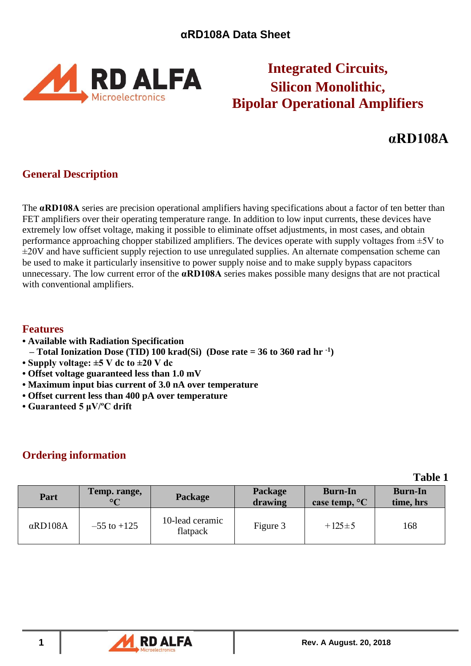

# **Integrated Circuits, Silicon Monolithic, Bipolar Operational Amplifiers**

# **αRD108A**

# **General Description**

The **αRD108A** series are precision operational amplifiers having specifications about a factor of ten better than FET amplifiers over their operating temperature range. In addition to low input currents, these devices have extremely low offset voltage, making it possible to eliminate offset adjustments, in most cases, and obtain performance approaching chopper stabilized amplifiers. The devices operate with supply voltages from  $\pm 5V$  to ±20V and have sufficient supply rejection to use unregulated supplies. An alternate compensation scheme can be used to make it particularly insensitive to power supply noise and to make supply bypass capacitors unnecessary. The low current error of the **αRD108A** series makes possible many designs that are not practical with conventional amplifiers.

### **Features**

- **• Available with Radiation Specification**
- **– Total Ionization Dose (TID) 100 krad(Si) (Dose rate = 36 to 360 rad hr -1 )**
- **• Supply voltage: ±5 V dc to ±20 V dc**
- **Offset voltage guaranteed less than 1.0 mV**
- **Maximum input bias current of 3.0 nA over temperature**
- **Offset current less than 400 pA over temperature**
- **Guaranteed 5 μV/ºC drift**

## **Ordering information**

**Table 1**

| Part            | Temp. range,<br>$\circ$ | Package                     | Package<br>drawing | <b>Burn-In</b><br>case temp, <sup>o</sup> C | <b>Burn-In</b><br>time, hrs |
|-----------------|-------------------------|-----------------------------|--------------------|---------------------------------------------|-----------------------------|
| $\alpha$ RD108A | $-55$ to $+125$         | 10-lead ceramic<br>flatpack | Figure 3           | $+125\pm 5$                                 | 168                         |

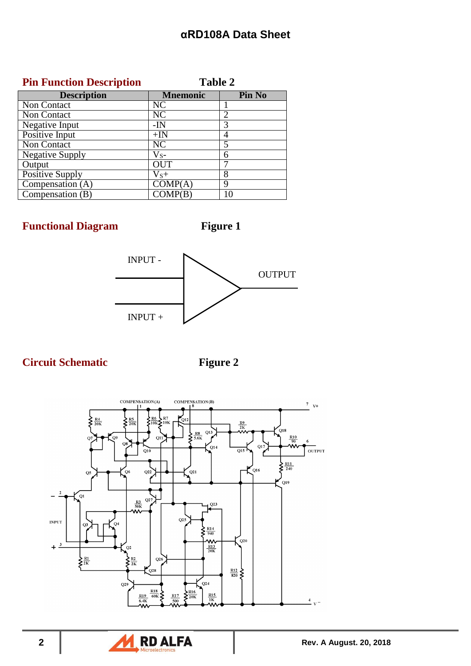## **Pin Function Description Table 2**

| <b>Description</b>     | <b>Mnemonic</b> | Pin No         |
|------------------------|-----------------|----------------|
| Non Contact            | NC              |                |
| Non Contact            | NC              | $\overline{2}$ |
| Negative Input         | $-IN$           | 3              |
| Positive Input         | $+IN$           | 4              |
| Non Contact            | NC              | 5              |
| <b>Negative Supply</b> | $V_{S^-}$       | 6              |
| Output                 | <b>OUT</b>      |                |
| <b>Positive Supply</b> | $V_{S}+$        | 8              |
| Compensation (A)       | COMP(A)         | 9              |
| Compensation $(B)$     | COMP(B)         |                |

**Functional Diagram Figure 1** 



# **Circuit Schematic Figure 2**



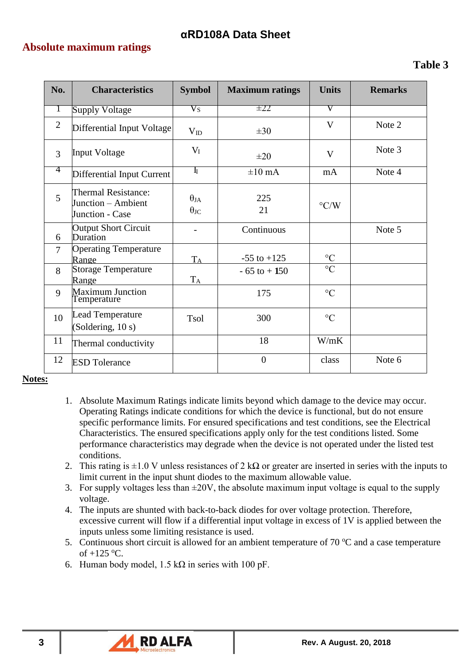### **Absolute maximum ratings**

| No.            | <b>Characteristics</b>                                              | <b>Symbol</b>                         | <b>Maximum ratings</b> | <b>Units</b>       | <b>Remarks</b> |
|----------------|---------------------------------------------------------------------|---------------------------------------|------------------------|--------------------|----------------|
| $\perp$        | <b>Supply Voltage</b>                                               | $\rm V_S$                             | $\pm 22$               | V                  |                |
| $\overline{2}$ | Differential Input Voltage                                          | $V_{ID}$                              | $\pm 30$               | V                  | Note 2         |
| 3              | <b>Input Voltage</b>                                                | $V_I$                                 | $\pm 20$               | V                  | Note 3         |
| 4              | Differential Input Current                                          | $\mathbf{I}_{\mathrm{I}}$             | $\pm 10$ mA            | mA                 | Note 4         |
| 5              | <b>Thermal Resistance:</b><br>Junction – Ambient<br>Junction - Case | $\theta_{JA}$<br>$\theta_{\text{JC}}$ | 225<br>21              | $\rm ^{\circ} C/W$ |                |
| 6              | <b>Output Short Circuit</b><br>Duration                             |                                       | Continuous             |                    | Note 5         |
| 7              | <b>Operating Temperature</b><br>Range                               | $T_A$                                 | $-55$ to $+125$        | $\rm ^{\circ}C$    |                |
| 8              | <b>Storage Temperature</b><br>Range                                 | $T_A$                                 | $-65$ to $+150$        | $\rm ^{\circ}C$    |                |
| 9              | <b>Maximum Junction</b><br>Temperature                              |                                       | 175                    | $\rm ^{\circ}C$    |                |
| 10             | <b>Lead Temperature</b><br>(Soldering, 10 s)                        | <b>Tsol</b>                           | 300                    | $\rm ^{\circ}C$    |                |
| 11             | Thermal conductivity                                                |                                       | 18                     | W/mK               |                |
| 12             | <b>ESD</b> Tolerance                                                |                                       | $\overline{0}$         | class              | Note 6         |

### **Notes:**

- 1. Absolute Maximum Ratings indicate limits beyond which damage to the device may occur. Operating Ratings indicate conditions for which the device is functional, but do not ensure specific performance limits. For ensured specifications and test conditions, see the Electrical Characteristics. The ensured specifications apply only for the test conditions listed. Some performance characteristics may degrade when the device is not operated under the listed test conditions.
- 2. This rating is  $\pm 1.0$  V unless resistances of 2 kΩ or greater are inserted in series with the inputs to limit current in the input shunt diodes to the maximum allowable value.
- 3. For supply voltages less than  $\pm 20V$ , the absolute maximum input voltage is equal to the supply voltage.
- 4. The inputs are shunted with back-to-back diodes for over voltage protection. Therefore, excessive current will flow if a differential input voltage in excess of 1V is applied between the inputs unless some limiting resistance is used.
- 5. Continuous short circuit is allowed for an ambient temperature of 70  $^{\circ}$ C and a case temperature of  $+125$  °C.
- 6. Human body model,  $1.5 \text{ k}\Omega$  in series with 100 pF.

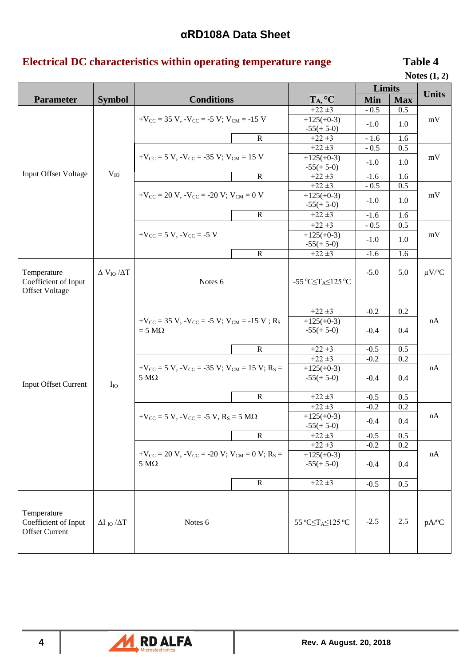# **Electrical DC characteristics within operating temperature range Table 4**

| Notes $(1, 2)$ |  |  |
|----------------|--|--|
|----------------|--|--|

|                             |                          |                                                                             |                                                                                                                                                                                                                                                                                                                                                                                                                                                                                                                                                                                                                                                                                                                                                                                                                                                                                                                                                                                                                                                                                                                                                                                                                                                                                                                                                                                                                                                                                                                    |                 |        |     | 110000(1)              |
|-----------------------------|--------------------------|-----------------------------------------------------------------------------|--------------------------------------------------------------------------------------------------------------------------------------------------------------------------------------------------------------------------------------------------------------------------------------------------------------------------------------------------------------------------------------------------------------------------------------------------------------------------------------------------------------------------------------------------------------------------------------------------------------------------------------------------------------------------------------------------------------------------------------------------------------------------------------------------------------------------------------------------------------------------------------------------------------------------------------------------------------------------------------------------------------------------------------------------------------------------------------------------------------------------------------------------------------------------------------------------------------------------------------------------------------------------------------------------------------------------------------------------------------------------------------------------------------------------------------------------------------------------------------------------------------------|-----------------|--------|-----|------------------------|
|                             |                          |                                                                             |                                                                                                                                                                                                                                                                                                                                                                                                                                                                                                                                                                                                                                                                                                                                                                                                                                                                                                                                                                                                                                                                                                                                                                                                                                                                                                                                                                                                                                                                                                                    |                 |        |     | <b>Units</b>           |
| <b>Parameter</b>            | <b>Symbol</b>            |                                                                             |                                                                                                                                                                                                                                                                                                                                                                                                                                                                                                                                                                                                                                                                                                                                                                                                                                                                                                                                                                                                                                                                                                                                                                                                                                                                                                                                                                                                                                                                                                                    |                 |        |     |                        |
|                             |                          |                                                                             |                                                                                                                                                                                                                                                                                                                                                                                                                                                                                                                                                                                                                                                                                                                                                                                                                                                                                                                                                                                                                                                                                                                                                                                                                                                                                                                                                                                                                                                                                                                    |                 |        |     |                        |
|                             |                          |                                                                             |                                                                                                                                                                                                                                                                                                                                                                                                                                                                                                                                                                                                                                                                                                                                                                                                                                                                                                                                                                                                                                                                                                                                                                                                                                                                                                                                                                                                                                                                                                                    |                 | $-1.0$ | 1.0 |                        |
|                             |                          |                                                                             | <b>Limits</b><br><b>Conditions</b><br>T <sub>A</sub> , °C<br>Min<br><b>Max</b><br>$+22 \pm 3$<br>$-0.5$<br>0.5<br>$+125(+0-3)$<br>$+V_{CC}$ = 35 V, $-V_{CC}$ = -5 V; V <sub>CM</sub> = -15 V<br>mV<br>$-55(+5-0)$<br>${\bf R}$<br>$+22 \pm 3$<br>$-1.6$<br>1.6<br>$+22 \pm 3$<br>$-0.5$<br>0.5<br>$+125(+0-3)$<br>mV<br>$-1.0$<br>1.0<br>$-55(+5-0)$<br>$\mathbf R$<br>$+22 \pm 3$<br>1.6<br>$-1.6$<br>$+22 \pm 3$<br>$-0.5$<br>0.5<br>$+125(+0-3)$<br>mV<br>$-1.0$<br>1.0<br>$-55(+5-0)$<br>$\mathbf R$<br>$+22 \pm 3$<br>1.6<br>$-1.6$<br>$+22 \pm 3$<br>$-0.5$<br>0.5<br>$+125(+0-3)$<br>mV<br>$-1.0$<br>1.0<br>$-55(+5-0)$<br>$\mathbf R$<br>$+22 \pm 3$<br>1.6<br>$-1.6$<br>$-5.0$<br>5.0<br>-55 °C $\leq$ T <sub>A</sub> $\leq$ 125 °C<br>$+22 \pm 3$<br>$-0.2$<br>0.2<br>$+125(+0-3)$<br>nA<br>$-55(+5-0)$<br>0.4<br>$-0.4$<br>$\mathbf R$<br>$+22 \pm 3$<br>$-0.5$<br>0.5<br>$+22 \pm 3$<br>$-0.2$<br>0.2<br>$+V_{CC}$ = 5 V, $-V_{CC}$ = -35 V; V <sub>CM</sub> = 15 V; R <sub>S</sub> =<br>$+125(+0-3)$<br>nA<br>$-55(+5-0)$<br>0.4<br>$-0.4$<br>$\mathbf R$<br>$+22 \pm 3$<br>$-0.5$<br>0.5<br>$+22 \pm 3$<br>$-0.2$<br>0.2<br>$+125(+0-3)$<br>$+V_{CC}$ = 5 V, $-V_{CC}$ = -5 V, $R_S$ = 5 M $\Omega$<br>nA<br>$-0.4$<br>0.4<br>$-55(+5-0)$<br>R<br>$+22 \pm 3$<br>$-0.5$<br>0.5<br>$+22 \pm 3$<br>$-0.2$<br>0.2<br>$+V_{CC}$ = 20 V, $-V_{CC}$ = -20 V; V <sub>CM</sub> = 0 V; R <sub>S</sub> =<br>nA<br>$+125(+0-3)$<br>$-55(+5-0)$<br>$-0.4$<br>0.4<br>$+22 \pm 3$<br>$\mathbf R$<br>$-0.5$<br>0.5 |                 |        |     |                        |
|                             |                          |                                                                             |                                                                                                                                                                                                                                                                                                                                                                                                                                                                                                                                                                                                                                                                                                                                                                                                                                                                                                                                                                                                                                                                                                                                                                                                                                                                                                                                                                                                                                                                                                                    |                 |        |     |                        |
|                             |                          | $+V_{CC}$ = 5 V, $-V_{CC}$ = -35 V; V <sub>CM</sub> = 15 V                  |                                                                                                                                                                                                                                                                                                                                                                                                                                                                                                                                                                                                                                                                                                                                                                                                                                                                                                                                                                                                                                                                                                                                                                                                                                                                                                                                                                                                                                                                                                                    |                 |        |     |                        |
|                             |                          |                                                                             |                                                                                                                                                                                                                                                                                                                                                                                                                                                                                                                                                                                                                                                                                                                                                                                                                                                                                                                                                                                                                                                                                                                                                                                                                                                                                                                                                                                                                                                                                                                    |                 |        |     |                        |
| <b>Input Offset Voltage</b> | $V_{IO}$                 |                                                                             |                                                                                                                                                                                                                                                                                                                                                                                                                                                                                                                                                                                                                                                                                                                                                                                                                                                                                                                                                                                                                                                                                                                                                                                                                                                                                                                                                                                                                                                                                                                    |                 |        |     |                        |
|                             |                          |                                                                             |                                                                                                                                                                                                                                                                                                                                                                                                                                                                                                                                                                                                                                                                                                                                                                                                                                                                                                                                                                                                                                                                                                                                                                                                                                                                                                                                                                                                                                                                                                                    |                 |        |     |                        |
|                             |                          | $+V_{\text{CC}} = 20 V$ , $-V_{\text{CC}} = -20 V$ ; $V_{\text{CM}} = 0 V$  |                                                                                                                                                                                                                                                                                                                                                                                                                                                                                                                                                                                                                                                                                                                                                                                                                                                                                                                                                                                                                                                                                                                                                                                                                                                                                                                                                                                                                                                                                                                    |                 |        |     |                        |
|                             |                          |                                                                             |                                                                                                                                                                                                                                                                                                                                                                                                                                                                                                                                                                                                                                                                                                                                                                                                                                                                                                                                                                                                                                                                                                                                                                                                                                                                                                                                                                                                                                                                                                                    |                 |        |     |                        |
|                             |                          |                                                                             |                                                                                                                                                                                                                                                                                                                                                                                                                                                                                                                                                                                                                                                                                                                                                                                                                                                                                                                                                                                                                                                                                                                                                                                                                                                                                                                                                                                                                                                                                                                    |                 |        |     |                        |
|                             |                          |                                                                             |                                                                                                                                                                                                                                                                                                                                                                                                                                                                                                                                                                                                                                                                                                                                                                                                                                                                                                                                                                                                                                                                                                                                                                                                                                                                                                                                                                                                                                                                                                                    |                 |        |     |                        |
|                             |                          | $+V_{CC}$ = 5 V, $-V_{CC}$ = -5 V                                           |                                                                                                                                                                                                                                                                                                                                                                                                                                                                                                                                                                                                                                                                                                                                                                                                                                                                                                                                                                                                                                                                                                                                                                                                                                                                                                                                                                                                                                                                                                                    |                 |        |     |                        |
|                             |                          |                                                                             |                                                                                                                                                                                                                                                                                                                                                                                                                                                                                                                                                                                                                                                                                                                                                                                                                                                                                                                                                                                                                                                                                                                                                                                                                                                                                                                                                                                                                                                                                                                    |                 |        |     |                        |
|                             |                          |                                                                             |                                                                                                                                                                                                                                                                                                                                                                                                                                                                                                                                                                                                                                                                                                                                                                                                                                                                                                                                                                                                                                                                                                                                                                                                                                                                                                                                                                                                                                                                                                                    |                 |        |     |                        |
|                             |                          |                                                                             |                                                                                                                                                                                                                                                                                                                                                                                                                                                                                                                                                                                                                                                                                                                                                                                                                                                                                                                                                                                                                                                                                                                                                                                                                                                                                                                                                                                                                                                                                                                    |                 |        |     |                        |
| Temperature                 | $\Delta V_{IO}/\Delta T$ |                                                                             |                                                                                                                                                                                                                                                                                                                                                                                                                                                                                                                                                                                                                                                                                                                                                                                                                                                                                                                                                                                                                                                                                                                                                                                                                                                                                                                                                                                                                                                                                                                    |                 |        |     | $\mu V$ <sup>o</sup> C |
| Coefficient of Input        |                          | Notes 6                                                                     |                                                                                                                                                                                                                                                                                                                                                                                                                                                                                                                                                                                                                                                                                                                                                                                                                                                                                                                                                                                                                                                                                                                                                                                                                                                                                                                                                                                                                                                                                                                    |                 |        |     |                        |
| <b>Offset Voltage</b>       |                          |                                                                             |                                                                                                                                                                                                                                                                                                                                                                                                                                                                                                                                                                                                                                                                                                                                                                                                                                                                                                                                                                                                                                                                                                                                                                                                                                                                                                                                                                                                                                                                                                                    |                 |        |     |                        |
|                             |                          |                                                                             |                                                                                                                                                                                                                                                                                                                                                                                                                                                                                                                                                                                                                                                                                                                                                                                                                                                                                                                                                                                                                                                                                                                                                                                                                                                                                                                                                                                                                                                                                                                    |                 |        |     |                        |
|                             |                          | $+V_{CC}$ = 35 V, $-V_{CC}$ = -5 V; V <sub>CM</sub> = -15 V; R <sub>S</sub> |                                                                                                                                                                                                                                                                                                                                                                                                                                                                                                                                                                                                                                                                                                                                                                                                                                                                                                                                                                                                                                                                                                                                                                                                                                                                                                                                                                                                                                                                                                                    |                 |        |     |                        |
|                             |                          |                                                                             |                                                                                                                                                                                                                                                                                                                                                                                                                                                                                                                                                                                                                                                                                                                                                                                                                                                                                                                                                                                                                                                                                                                                                                                                                                                                                                                                                                                                                                                                                                                    |                 |        |     |                        |
|                             |                          | $= 5 M\Omega$                                                               |                                                                                                                                                                                                                                                                                                                                                                                                                                                                                                                                                                                                                                                                                                                                                                                                                                                                                                                                                                                                                                                                                                                                                                                                                                                                                                                                                                                                                                                                                                                    |                 |        |     |                        |
|                             |                          |                                                                             |                                                                                                                                                                                                                                                                                                                                                                                                                                                                                                                                                                                                                                                                                                                                                                                                                                                                                                                                                                                                                                                                                                                                                                                                                                                                                                                                                                                                                                                                                                                    |                 |        |     |                        |
|                             |                          |                                                                             |                                                                                                                                                                                                                                                                                                                                                                                                                                                                                                                                                                                                                                                                                                                                                                                                                                                                                                                                                                                                                                                                                                                                                                                                                                                                                                                                                                                                                                                                                                                    |                 |        |     |                        |
|                             |                          |                                                                             |                                                                                                                                                                                                                                                                                                                                                                                                                                                                                                                                                                                                                                                                                                                                                                                                                                                                                                                                                                                                                                                                                                                                                                                                                                                                                                                                                                                                                                                                                                                    |                 |        |     |                        |
|                             |                          |                                                                             |                                                                                                                                                                                                                                                                                                                                                                                                                                                                                                                                                                                                                                                                                                                                                                                                                                                                                                                                                                                                                                                                                                                                                                                                                                                                                                                                                                                                                                                                                                                    |                 |        |     |                        |
| <b>Input Offset Current</b> | $I_{IO}$                 | $5 M\Omega$                                                                 |                                                                                                                                                                                                                                                                                                                                                                                                                                                                                                                                                                                                                                                                                                                                                                                                                                                                                                                                                                                                                                                                                                                                                                                                                                                                                                                                                                                                                                                                                                                    |                 |        |     |                        |
|                             |                          |                                                                             |                                                                                                                                                                                                                                                                                                                                                                                                                                                                                                                                                                                                                                                                                                                                                                                                                                                                                                                                                                                                                                                                                                                                                                                                                                                                                                                                                                                                                                                                                                                    |                 |        |     |                        |
|                             |                          |                                                                             |                                                                                                                                                                                                                                                                                                                                                                                                                                                                                                                                                                                                                                                                                                                                                                                                                                                                                                                                                                                                                                                                                                                                                                                                                                                                                                                                                                                                                                                                                                                    |                 |        |     |                        |
|                             |                          |                                                                             |                                                                                                                                                                                                                                                                                                                                                                                                                                                                                                                                                                                                                                                                                                                                                                                                                                                                                                                                                                                                                                                                                                                                                                                                                                                                                                                                                                                                                                                                                                                    |                 |        |     |                        |
|                             |                          |                                                                             |                                                                                                                                                                                                                                                                                                                                                                                                                                                                                                                                                                                                                                                                                                                                                                                                                                                                                                                                                                                                                                                                                                                                                                                                                                                                                                                                                                                                                                                                                                                    |                 |        |     |                        |
|                             |                          |                                                                             |                                                                                                                                                                                                                                                                                                                                                                                                                                                                                                                                                                                                                                                                                                                                                                                                                                                                                                                                                                                                                                                                                                                                                                                                                                                                                                                                                                                                                                                                                                                    |                 |        |     |                        |
|                             |                          |                                                                             |                                                                                                                                                                                                                                                                                                                                                                                                                                                                                                                                                                                                                                                                                                                                                                                                                                                                                                                                                                                                                                                                                                                                                                                                                                                                                                                                                                                                                                                                                                                    |                 |        |     |                        |
|                             |                          |                                                                             |                                                                                                                                                                                                                                                                                                                                                                                                                                                                                                                                                                                                                                                                                                                                                                                                                                                                                                                                                                                                                                                                                                                                                                                                                                                                                                                                                                                                                                                                                                                    |                 |        |     |                        |
|                             |                          | $5\ \mathrm{M}\Omega$                                                       |                                                                                                                                                                                                                                                                                                                                                                                                                                                                                                                                                                                                                                                                                                                                                                                                                                                                                                                                                                                                                                                                                                                                                                                                                                                                                                                                                                                                                                                                                                                    |                 |        |     |                        |
|                             |                          |                                                                             |                                                                                                                                                                                                                                                                                                                                                                                                                                                                                                                                                                                                                                                                                                                                                                                                                                                                                                                                                                                                                                                                                                                                                                                                                                                                                                                                                                                                                                                                                                                    |                 |        |     |                        |
|                             |                          |                                                                             |                                                                                                                                                                                                                                                                                                                                                                                                                                                                                                                                                                                                                                                                                                                                                                                                                                                                                                                                                                                                                                                                                                                                                                                                                                                                                                                                                                                                                                                                                                                    |                 |        |     |                        |
|                             |                          |                                                                             |                                                                                                                                                                                                                                                                                                                                                                                                                                                                                                                                                                                                                                                                                                                                                                                                                                                                                                                                                                                                                                                                                                                                                                                                                                                                                                                                                                                                                                                                                                                    |                 |        |     |                        |
|                             |                          |                                                                             |                                                                                                                                                                                                                                                                                                                                                                                                                                                                                                                                                                                                                                                                                                                                                                                                                                                                                                                                                                                                                                                                                                                                                                                                                                                                                                                                                                                                                                                                                                                    |                 |        |     |                        |
| Temperature                 |                          |                                                                             |                                                                                                                                                                                                                                                                                                                                                                                                                                                                                                                                                                                                                                                                                                                                                                                                                                                                                                                                                                                                                                                                                                                                                                                                                                                                                                                                                                                                                                                                                                                    |                 |        |     |                        |
| Coefficient of Input        | $\Delta I$ to $\Delta T$ | Notes 6                                                                     |                                                                                                                                                                                                                                                                                                                                                                                                                                                                                                                                                                                                                                                                                                                                                                                                                                                                                                                                                                                                                                                                                                                                                                                                                                                                                                                                                                                                                                                                                                                    | 55 °C≤TA≤125 °C | $-2.5$ | 2.5 | pA/°C                  |
| <b>Offset Current</b>       |                          |                                                                             |                                                                                                                                                                                                                                                                                                                                                                                                                                                                                                                                                                                                                                                                                                                                                                                                                                                                                                                                                                                                                                                                                                                                                                                                                                                                                                                                                                                                                                                                                                                    |                 |        |     |                        |
|                             |                          |                                                                             |                                                                                                                                                                                                                                                                                                                                                                                                                                                                                                                                                                                                                                                                                                                                                                                                                                                                                                                                                                                                                                                                                                                                                                                                                                                                                                                                                                                                                                                                                                                    |                 |        |     |                        |
|                             |                          |                                                                             |                                                                                                                                                                                                                                                                                                                                                                                                                                                                                                                                                                                                                                                                                                                                                                                                                                                                                                                                                                                                                                                                                                                                                                                                                                                                                                                                                                                                                                                                                                                    |                 |        |     |                        |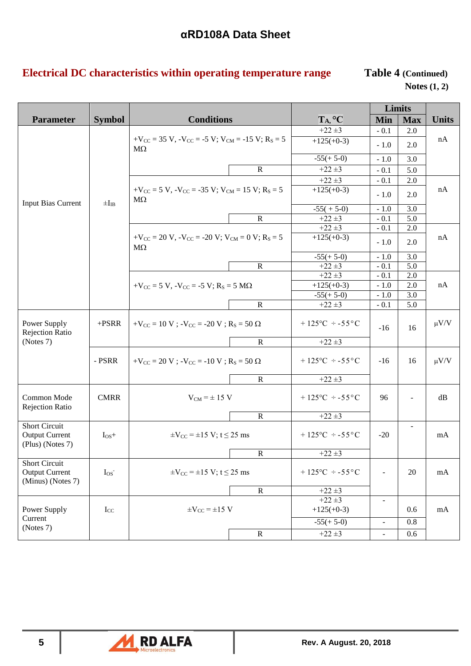# **Electrical DC characteristics within operating temperature range Table 4 (Continued)**

**Notes (1, 2)**

|                                                                    |               |                                                                                                                                      |                                   |            | Limits                                                                                             |              |
|--------------------------------------------------------------------|---------------|--------------------------------------------------------------------------------------------------------------------------------------|-----------------------------------|------------|----------------------------------------------------------------------------------------------------|--------------|
| <b>Parameter</b>                                                   | <b>Symbol</b> | <b>Conditions</b>                                                                                                                    | TA, °C                            | <b>Min</b> | <b>Max</b>                                                                                         | <b>Units</b> |
|                                                                    |               |                                                                                                                                      | $+22 \pm 3$                       | $-0.1$     | 2.0                                                                                                |              |
|                                                                    |               | $+V_{CC}$ = 35 V, $-V_{CC}$ = -5 V; V <sub>CM</sub> = -15 V; R <sub>S</sub> = 5<br>$M\Omega$                                         | $+125(+0-3)$                      | $-1.0$     | 2.0                                                                                                | nA           |
|                                                                    |               |                                                                                                                                      | $-55(+5-0)$                       | $-1.0$     | 3.0                                                                                                |              |
|                                                                    |               | $\mathbf R$                                                                                                                          | $+22 \pm 3$                       | $-0.1$     | 5.0                                                                                                |              |
|                                                                    |               |                                                                                                                                      | $+22 \pm 3$                       | $-0.1$     | 2.0                                                                                                |              |
| <b>Input Bias Current</b>                                          | $\pm I_{IB}$  | $+V_{\text{CC}} = 5 V$ , $-V_{\text{CC}} = -35 V$ ; $V_{\text{CM}} = 15 V$ ; $R_S = 5$<br>$M\Omega$                                  | $+125(+0-3)$                      | $-1.0$     | 2.0                                                                                                | nA           |
|                                                                    |               |                                                                                                                                      | $-55(+5-0)$                       | $-1.0$     | 3.0                                                                                                |              |
|                                                                    |               | $\mathbf R$                                                                                                                          | $+22 \pm 3$                       | $-0.1$     | 5.0                                                                                                |              |
|                                                                    |               |                                                                                                                                      | $+22 \pm 3$                       | $-0.1$     | 2.0                                                                                                |              |
|                                                                    |               | $+V_{\text{CC}} = 20 \text{ V}$ , $-V_{\text{CC}} = -20 \text{ V}$ ; $V_{\text{CM}} = 0 \text{ V}$ ; $R_{\text{S}} = 5$<br>$M\Omega$ | $+125(+0-3)$                      | $-1.0$     | 2.0                                                                                                | nA           |
|                                                                    |               |                                                                                                                                      | $-55(+5-0)$                       | $-1.0$     | 3.0                                                                                                |              |
|                                                                    |               | ${\bf R}$                                                                                                                            | $+22 \pm 3$                       | $-0.1$     | 5.0                                                                                                |              |
|                                                                    |               |                                                                                                                                      | $+22 \pm 3$                       | $-0.1$     | 2.0                                                                                                |              |
|                                                                    |               | $+V_{CC}$ = 5 V, $-V_{CC}$ = -5 V; R <sub>S</sub> = 5 M $\Omega$                                                                     | $+125(+0-3)$                      | $-1.0$     | 2.0                                                                                                | nA           |
|                                                                    |               |                                                                                                                                      | $-55(+5-0)$                       | $-1.0$     | 3.0                                                                                                |              |
|                                                                    |               | ${\bf R}$                                                                                                                            | $+22 \pm 3$                       | $-0.1$     |                                                                                                    |              |
| Power Supply<br><b>Rejection Ratio</b>                             | $+ PSRR$      | $+V_{CC} = 10 V$ ; $-V_{CC} = -20 V$ ; $R_S = 50 \Omega$                                                                             | $+125^{\circ}$ C $\div$ -55°C     | $-16$      | 16                                                                                                 | $\mu V/V$    |
| (Notes 7)                                                          |               | $\overline{R}$                                                                                                                       | $+22 \pm 3$                       |            |                                                                                                    |              |
|                                                                    | - PSRR        | $+V_{CC}$ = 20 V ; $-V_{CC}$ = -10 V ; R <sub>S</sub> = 50 $\Omega$                                                                  | $+125^{\circ}$ C $\div$ -55°C     | $-16$      | 16                                                                                                 | $\mu V/V$    |
|                                                                    |               | $\mathbf R$                                                                                                                          | $+22 \pm 3$                       |            |                                                                                                    |              |
| Common Mode<br><b>Rejection Ratio</b>                              | <b>CMRR</b>   | $V_{CM}$ = $\pm$ 15 V                                                                                                                | $+125\degree C \div -55\degree C$ | 96         |                                                                                                    | dB           |
|                                                                    |               | $\mathbf R$                                                                                                                          | $+22 \pm 3$                       |            | 5.0<br>$-20$<br>20<br>$\blacksquare$<br>$\blacksquare$<br>0.6<br>0.8<br>÷<br>0.6<br>$\blacksquare$ |              |
| <b>Short Circuit</b><br><b>Output Current</b><br>(Plus) (Notes 7)  | $I_{OS}+$     | $\pm V_{\rm CC} = \pm 15 \text{ V}; t \le 25 \text{ ms}$                                                                             | $+125^{\circ}$ C $\div$ -55°C     |            |                                                                                                    | mA           |
|                                                                    |               | ${\bf R}$                                                                                                                            | $+22 \pm 3$                       |            |                                                                                                    |              |
| <b>Short Circuit</b><br><b>Output Current</b><br>(Minus) (Notes 7) | $I_{OS}$      | $\pm V_{\rm CC} = \pm 15 \text{ V}; t \le 25 \text{ ms}$                                                                             | $+125^{\circ}$ C $\div$ -55°C     |            |                                                                                                    | mA           |
|                                                                    |               | $\mathbf R$                                                                                                                          | $+22 \pm 3$                       |            |                                                                                                    |              |
|                                                                    |               |                                                                                                                                      | $+22 \pm 3$                       |            |                                                                                                    |              |
| Power Supply                                                       | Icc           | $\pm V_{CC} = \pm 15$ V                                                                                                              | $+125(+0-3)$                      |            |                                                                                                    | mA           |
| Current                                                            |               |                                                                                                                                      | $-55(+5-0)$                       |            |                                                                                                    |              |
| (Notes 7)                                                          |               | $\mathbf R$                                                                                                                          | $+22 \pm 3$                       |            |                                                                                                    |              |

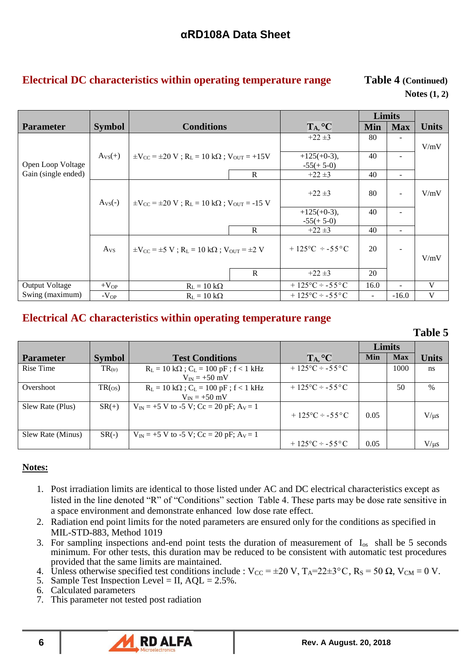# **Electrical DC characteristics within operating temperature range Table 4 (Continued)**

# **Notes (1, 2)**

| <b>Parameter</b>      | <b>Symbol</b>   | <b>Conditions</b>                                                                                                                                                                                                                                                                                                                                                                                                                                                                                                                                                                                                                                                                                                                                                                                                                  |  | TA, °C      | <b>Min</b> | <b>Max</b> | <b>Units</b> |
|-----------------------|-----------------|------------------------------------------------------------------------------------------------------------------------------------------------------------------------------------------------------------------------------------------------------------------------------------------------------------------------------------------------------------------------------------------------------------------------------------------------------------------------------------------------------------------------------------------------------------------------------------------------------------------------------------------------------------------------------------------------------------------------------------------------------------------------------------------------------------------------------------|--|-------------|------------|------------|--------------|
|                       |                 |                                                                                                                                                                                                                                                                                                                                                                                                                                                                                                                                                                                                                                                                                                                                                                                                                                    |  | $+22 \pm 3$ | 80         |            |              |
|                       |                 |                                                                                                                                                                                                                                                                                                                                                                                                                                                                                                                                                                                                                                                                                                                                                                                                                                    |  |             |            |            |              |
|                       | $A_{VS}(+)$     |                                                                                                                                                                                                                                                                                                                                                                                                                                                                                                                                                                                                                                                                                                                                                                                                                                    |  |             |            |            |              |
| Open Loop Voltage     |                 |                                                                                                                                                                                                                                                                                                                                                                                                                                                                                                                                                                                                                                                                                                                                                                                                                                    |  |             |            |            |              |
| Gain (single ended)   |                 | Limits<br>V/mV<br>40<br>$+125(+0-3)$ ,<br>$\pm V_{\rm CC} = \pm 20 \text{ V}$ ; R <sub>L</sub> = 10 kΩ; V <sub>OUT</sub> = +15V<br>$-55(+5-0)$<br>R<br>$+22 \pm 3$<br>40<br>$\overline{\phantom{a}}$<br>80<br>V/mV<br>$+22 \pm 3$<br>$\pm V_{\rm CC}$ = $\pm 20$ V; R <sub>L</sub> = 10 kΩ; V <sub>OUT</sub> = -15 V<br>40<br>$+125(+0-3),$<br>$\overline{\phantom{a}}$<br>$-55(+5-0)$<br>$\mathbb{R}$<br>40<br>$+22 \pm 3$<br>$\sim$<br>$+125^{\circ}$ C $\div$ -55 °C<br>20<br>$\pm V_{\rm CC} = \pm 5 \text{ V}$ ; R <sub>L</sub> = 10 kΩ; V <sub>OUT</sub> = $\pm 2 \text{ V}$<br>$\mathbf{R}$<br>$+22 \pm 3$<br>20<br>V<br>$+125\degree C \div -55\degree C$<br>16.0<br>$R_L = 10 k\Omega$<br>$\overline{\phantom{a}}$<br>V<br>$+125\degree C \div -55\degree C$<br>$-16.0$<br>$R_L = 10 k\Omega$<br>$\overline{\phantom{a}}$ |  |             |            |            |              |
|                       |                 |                                                                                                                                                                                                                                                                                                                                                                                                                                                                                                                                                                                                                                                                                                                                                                                                                                    |  |             |            |            |              |
|                       | $A_{VS}(-)$     |                                                                                                                                                                                                                                                                                                                                                                                                                                                                                                                                                                                                                                                                                                                                                                                                                                    |  |             |            |            |              |
|                       |                 |                                                                                                                                                                                                                                                                                                                                                                                                                                                                                                                                                                                                                                                                                                                                                                                                                                    |  |             |            |            |              |
|                       |                 |                                                                                                                                                                                                                                                                                                                                                                                                                                                                                                                                                                                                                                                                                                                                                                                                                                    |  |             |            |            |              |
|                       |                 |                                                                                                                                                                                                                                                                                                                                                                                                                                                                                                                                                                                                                                                                                                                                                                                                                                    |  |             |            |            |              |
|                       | A <sub>VS</sub> |                                                                                                                                                                                                                                                                                                                                                                                                                                                                                                                                                                                                                                                                                                                                                                                                                                    |  |             |            |            |              |
|                       |                 |                                                                                                                                                                                                                                                                                                                                                                                                                                                                                                                                                                                                                                                                                                                                                                                                                                    |  |             |            |            | V/mV         |
|                       |                 |                                                                                                                                                                                                                                                                                                                                                                                                                                                                                                                                                                                                                                                                                                                                                                                                                                    |  |             |            |            |              |
| <b>Output Voltage</b> | $+V_{OP}$       |                                                                                                                                                                                                                                                                                                                                                                                                                                                                                                                                                                                                                                                                                                                                                                                                                                    |  |             |            |            |              |
| Swing (maximum)       | $-V_{OP}$       |                                                                                                                                                                                                                                                                                                                                                                                                                                                                                                                                                                                                                                                                                                                                                                                                                                    |  |             |            |            |              |

## **Electrical AC characteristics within operating temperature range**

*Table 5* **Table 5** 

|                   |                         |                                                                      |                                   | Limits |            |              |
|-------------------|-------------------------|----------------------------------------------------------------------|-----------------------------------|--------|------------|--------------|
| <b>Parameter</b>  | <b>Symbol</b>           | <b>Test Conditions</b>                                               | TA, °C                            | Min    | <b>Max</b> | <b>Units</b> |
| Rise Time         | $TR_{(tr)}$             | $R_L = 10 k\Omega$ ; $C_L = 100 pF$ ; f < 1 kHz<br>$V_{IN} = +50$ mV | $+125\degree C \div -55\degree C$ |        | 1000       | ns           |
| Overshoot         | $TR($ <sub>OS</sub> $)$ | $R_L = 10 k\Omega$ ; $C_L = 100 pF$ ; f < 1 kHz<br>$V_{IN} = +50$ mV | $+125\degree C \div -55\degree C$ |        | 50         | $\%$         |
| Slew Rate (Plus)  | $SR(+)$                 | $V_{IN} = +5 V$ to -5 V; Cc = 20 pF; A <sub>V</sub> = 1              | $+125\degree C \div -55\degree C$ | 0.05   |            | $V/\mu s$    |
| Slew Rate (Minus) | $SR(-)$                 | $V_{IN}$ = +5 V to -5 V; Cc = 20 pF; A <sub>V</sub> = 1              | $+125\degree C \div -55\degree C$ | 0.05   |            | $V/\mu s$    |

### **Notes:**

- 1. Post irradiation limits are identical to those listed under AC and DC electrical characteristics except as listed in the line denoted "R" of "Conditions" section Table 4. These parts may be dose rate sensitive in a space environment and demonstrate enhanced low dose rate effect.
- 2. Radiation end point limits for the noted parameters are ensured only for the conditions as specified in MIL-STD-883, Method 1019
- 3. For sampling inspections and-end point tests the duration of measurement of  $I_{\text{os}}$  shall be 5 seconds minimum. For other tests, this duration may be reduced to be consistent with automatic test procedures provided that the same limits are maintained.
- 4. Unless otherwise specified test conditions include :  $V_{CC} = \pm 20 \text{ V}$ ,  $T_A = 22 \pm 3 \degree \text{C}$ ,  $R_S = 50 \Omega$ ,  $V_{CM} = 0 \text{ V}$ .
- 5. Sample Test Inspection Level = II,  $AQL = 2.5\%$ .
- 6. Calculated parameters
- 7. This parameter not tested post radiation

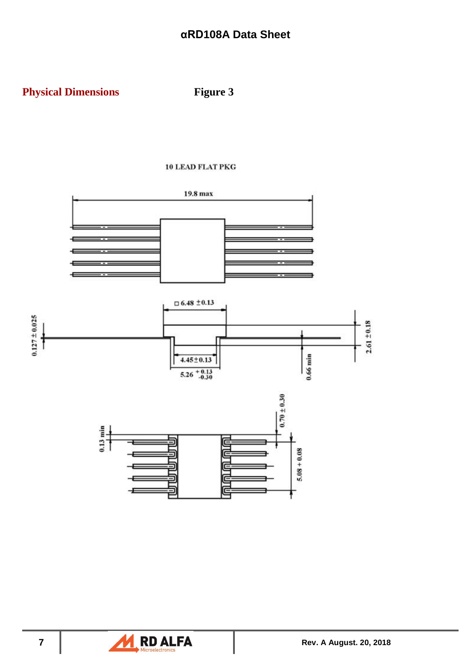

### **10 LEAD FLAT PKG**